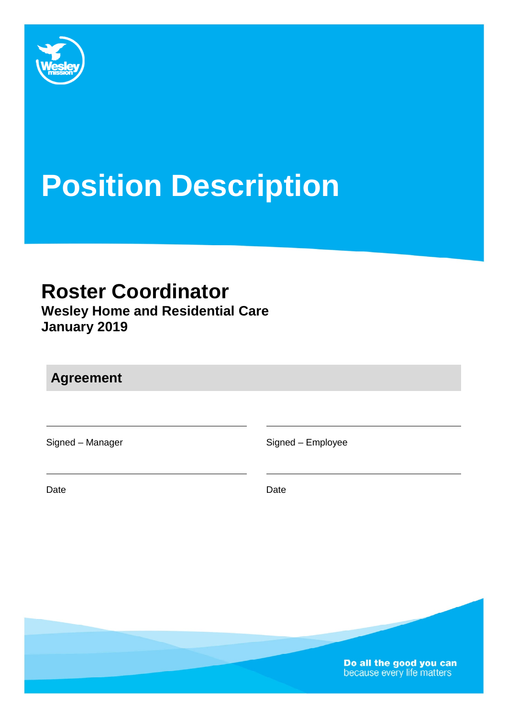

# **Position Description**

# **Roster Coordinator**

**Wesley Home and Residential Care January 2019** 

**Agreement** 

Signed – Manager Signed – Employee

Date **Date Date Date Date Date** 

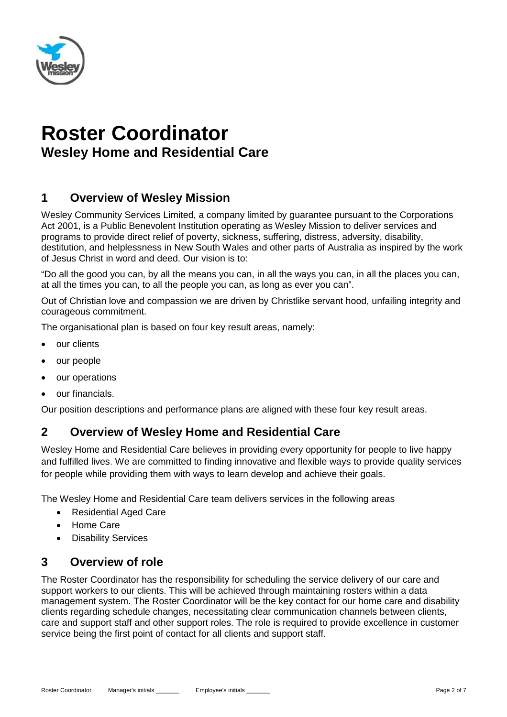

# **Roster Coordinator Wesley Home and Residential Care**

# **1 Overview of Wesley Mission**

Wesley Community Services Limited, a company limited by guarantee pursuant to the Corporations Act 2001, is a Public Benevolent Institution operating as Wesley Mission to deliver services and programs to provide direct relief of poverty, sickness, suffering, distress, adversity, disability, destitution, and helplessness in New South Wales and other parts of Australia as inspired by the work of Jesus Christ in word and deed. Our vision is to:

"Do all the good you can, by all the means you can, in all the ways you can, in all the places you can, at all the times you can, to all the people you can, as long as ever you can".

Out of Christian love and compassion we are driven by Christlike servant hood, unfailing integrity and courageous commitment.

The organisational plan is based on four key result areas, namely:

- our clients
- our people
- our operations
- our financials.

Our position descriptions and performance plans are aligned with these four key result areas.

# **2 Overview of Wesley Home and Residential Care**

Wesley Home and Residential Care believes in providing every opportunity for people to live happy and fulfilled lives. We are committed to finding innovative and flexible ways to provide quality services for people while providing them with ways to learn develop and achieve their goals.

The Wesley Home and Residential Care team delivers services in the following areas

- Residential Aged Care
- Home Care
- Disability Services

# **3 Overview of role**

The Roster Coordinator has the responsibility for scheduling the service delivery of our care and support workers to our clients. This will be achieved through maintaining rosters within a data management system. The Roster Coordinator will be the key contact for our home care and disability clients regarding schedule changes, necessitating clear communication channels between clients, care and support staff and other support roles. The role is required to provide excellence in customer service being the first point of contact for all clients and support staff.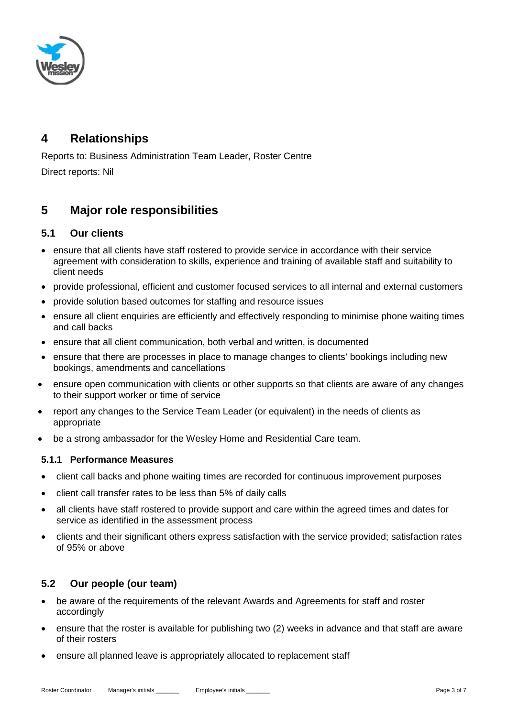

# **4 Relationships**

Reports to: Business Administration Team Leader, Roster Centre Direct reports: Nil

# **5 Major role responsibilities**

#### **5.1 Our clients**

- ensure that all clients have staff rostered to provide service in accordance with their service agreement with consideration to skills, experience and training of available staff and suitability to client needs
- provide professional, efficient and customer focused services to all internal and external customers
- provide solution based outcomes for staffing and resource issues
- ensure all client enquiries are efficiently and effectively responding to minimise phone waiting times and call backs
- ensure that all client communication, both verbal and written, is documented
- ensure that there are processes in place to manage changes to clients' bookings including new bookings, amendments and cancellations
- ensure open communication with clients or other supports so that clients are aware of any changes to their support worker or time of service
- report any changes to the Service Team Leader (or equivalent) in the needs of clients as appropriate
- be a strong ambassador for the Wesley Home and Residential Care team.

#### **5.1.1 Performance Measures**

- client call backs and phone waiting times are recorded for continuous improvement purposes
- client call transfer rates to be less than 5% of daily calls
- all clients have staff rostered to provide support and care within the agreed times and dates for service as identified in the assessment process
- clients and their significant others express satisfaction with the service provided; satisfaction rates of 95% or above

### **5.2 Our people (our team)**

- be aware of the requirements of the relevant Awards and Agreements for staff and roster accordingly
- ensure that the roster is available for publishing two (2) weeks in advance and that staff are aware of their rosters
- ensure all planned leave is appropriately allocated to replacement staff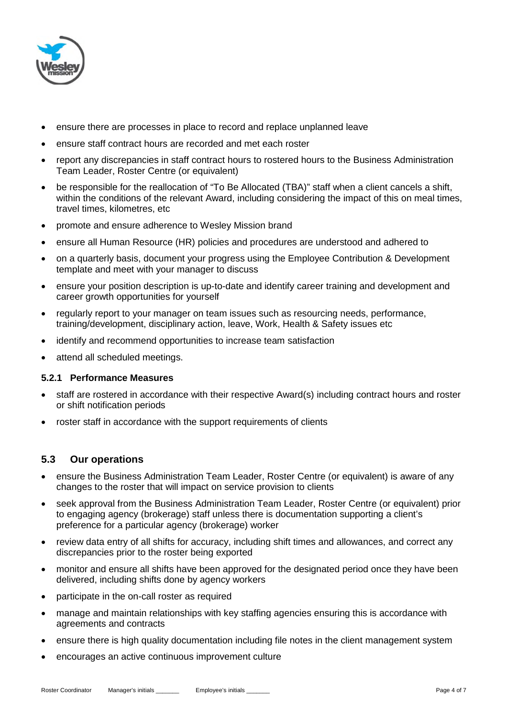

- ensure there are processes in place to record and replace unplanned leave
- ensure staff contract hours are recorded and met each roster
- report any discrepancies in staff contract hours to rostered hours to the Business Administration Team Leader, Roster Centre (or equivalent)
- be responsible for the reallocation of "To Be Allocated (TBA)" staff when a client cancels a shift, within the conditions of the relevant Award, including considering the impact of this on meal times, travel times, kilometres, etc
- promote and ensure adherence to Wesley Mission brand
- ensure all Human Resource (HR) policies and procedures are understood and adhered to
- on a quarterly basis, document your progress using the Employee Contribution & Development template and meet with your manager to discuss
- ensure your position description is up-to-date and identify career training and development and career growth opportunities for yourself
- regularly report to your manager on team issues such as resourcing needs, performance, training/development, disciplinary action, leave, Work, Health & Safety issues etc
- identify and recommend opportunities to increase team satisfaction
- attend all scheduled meetings.

#### **5.2.1 Performance Measures**

- staff are rostered in accordance with their respective Award(s) including contract hours and roster or shift notification periods
- roster staff in accordance with the support requirements of clients

#### **5.3 Our operations**

- ensure the Business Administration Team Leader, Roster Centre (or equivalent) is aware of any changes to the roster that will impact on service provision to clients
- seek approval from the Business Administration Team Leader, Roster Centre (or equivalent) prior to engaging agency (brokerage) staff unless there is documentation supporting a client's preference for a particular agency (brokerage) worker
- review data entry of all shifts for accuracy, including shift times and allowances, and correct any discrepancies prior to the roster being exported
- monitor and ensure all shifts have been approved for the designated period once they have been delivered, including shifts done by agency workers
- participate in the on-call roster as required
- manage and maintain relationships with key staffing agencies ensuring this is accordance with agreements and contracts
- ensure there is high quality documentation including file notes in the client management system
- encourages an active continuous improvement culture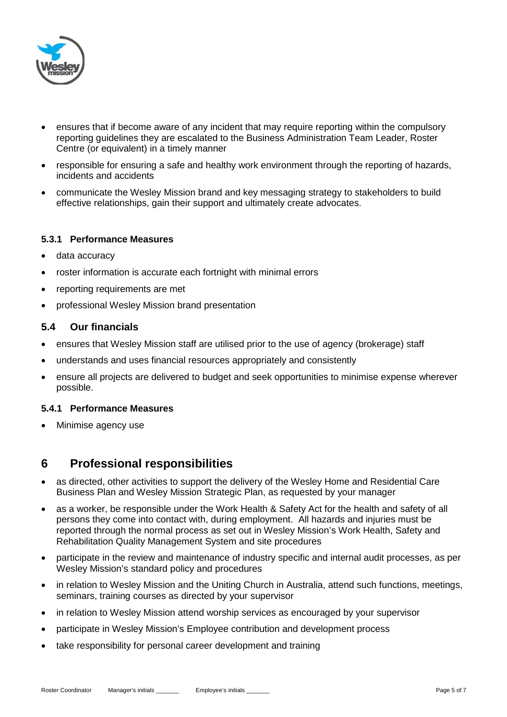

- ensures that if become aware of any incident that may require reporting within the compulsory reporting guidelines they are escalated to the Business Administration Team Leader, Roster Centre (or equivalent) in a timely manner
- responsible for ensuring a safe and healthy work environment through the reporting of hazards, incidents and accidents
- communicate the Wesley Mission brand and key messaging strategy to stakeholders to build effective relationships, gain their support and ultimately create advocates.

#### **5.3.1 Performance Measures**

- data accuracy
- roster information is accurate each fortnight with minimal errors
- reporting requirements are met
- professional Wesley Mission brand presentation

#### **5.4 Our financials**

- ensures that Wesley Mission staff are utilised prior to the use of agency (brokerage) staff
- understands and uses financial resources appropriately and consistently
- ensure all projects are delivered to budget and seek opportunities to minimise expense wherever possible.

#### **5.4.1 Performance Measures**

Minimise agency use

### **6 Professional responsibilities**

- as directed, other activities to support the delivery of the Wesley Home and Residential Care Business Plan and Wesley Mission Strategic Plan, as requested by your manager
- as a worker, be responsible under the Work Health & Safety Act for the health and safety of all persons they come into contact with, during employment. All hazards and injuries must be reported through the normal process as set out in Wesley Mission's Work Health, Safety and Rehabilitation Quality Management System and site procedures
- participate in the review and maintenance of industry specific and internal audit processes, as per Wesley Mission's standard policy and procedures
- in relation to Wesley Mission and the Uniting Church in Australia, attend such functions, meetings, seminars, training courses as directed by your supervisor
- in relation to Wesley Mission attend worship services as encouraged by your supervisor
- participate in Wesley Mission's Employee contribution and development process
- take responsibility for personal career development and training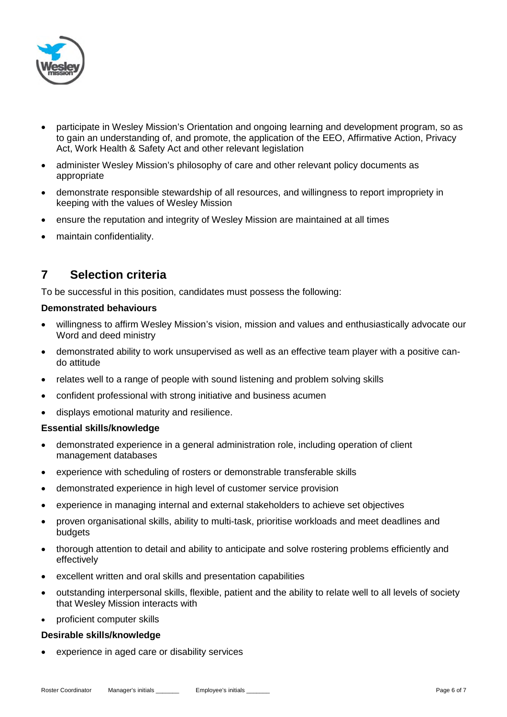

- participate in Wesley Mission's Orientation and ongoing learning and development program, so as to gain an understanding of, and promote, the application of the EEO, Affirmative Action, Privacy Act, Work Health & Safety Act and other relevant legislation
- administer Wesley Mission's philosophy of care and other relevant policy documents as appropriate
- demonstrate responsible stewardship of all resources, and willingness to report impropriety in keeping with the values of Wesley Mission
- ensure the reputation and integrity of Wesley Mission are maintained at all times
- maintain confidentiality.

# **7 Selection criteria**

To be successful in this position, candidates must possess the following:

#### **Demonstrated behaviours**

- willingness to affirm Wesley Mission's vision, mission and values and enthusiastically advocate our Word and deed ministry
- demonstrated ability to work unsupervised as well as an effective team player with a positive cando attitude
- relates well to a range of people with sound listening and problem solving skills
- confident professional with strong initiative and business acumen
- displays emotional maturity and resilience.

#### **Essential skills/knowledge**

- demonstrated experience in a general administration role, including operation of client management databases
- experience with scheduling of rosters or demonstrable transferable skills
- demonstrated experience in high level of customer service provision
- experience in managing internal and external stakeholders to achieve set objectives
- proven organisational skills, ability to multi-task, prioritise workloads and meet deadlines and budgets
- thorough attention to detail and ability to anticipate and solve rostering problems efficiently and effectively
- excellent written and oral skills and presentation capabilities
- outstanding interpersonal skills, flexible, patient and the ability to relate well to all levels of society that Wesley Mission interacts with
- proficient computer skills

#### **Desirable skills/knowledge**

experience in aged care or disability services